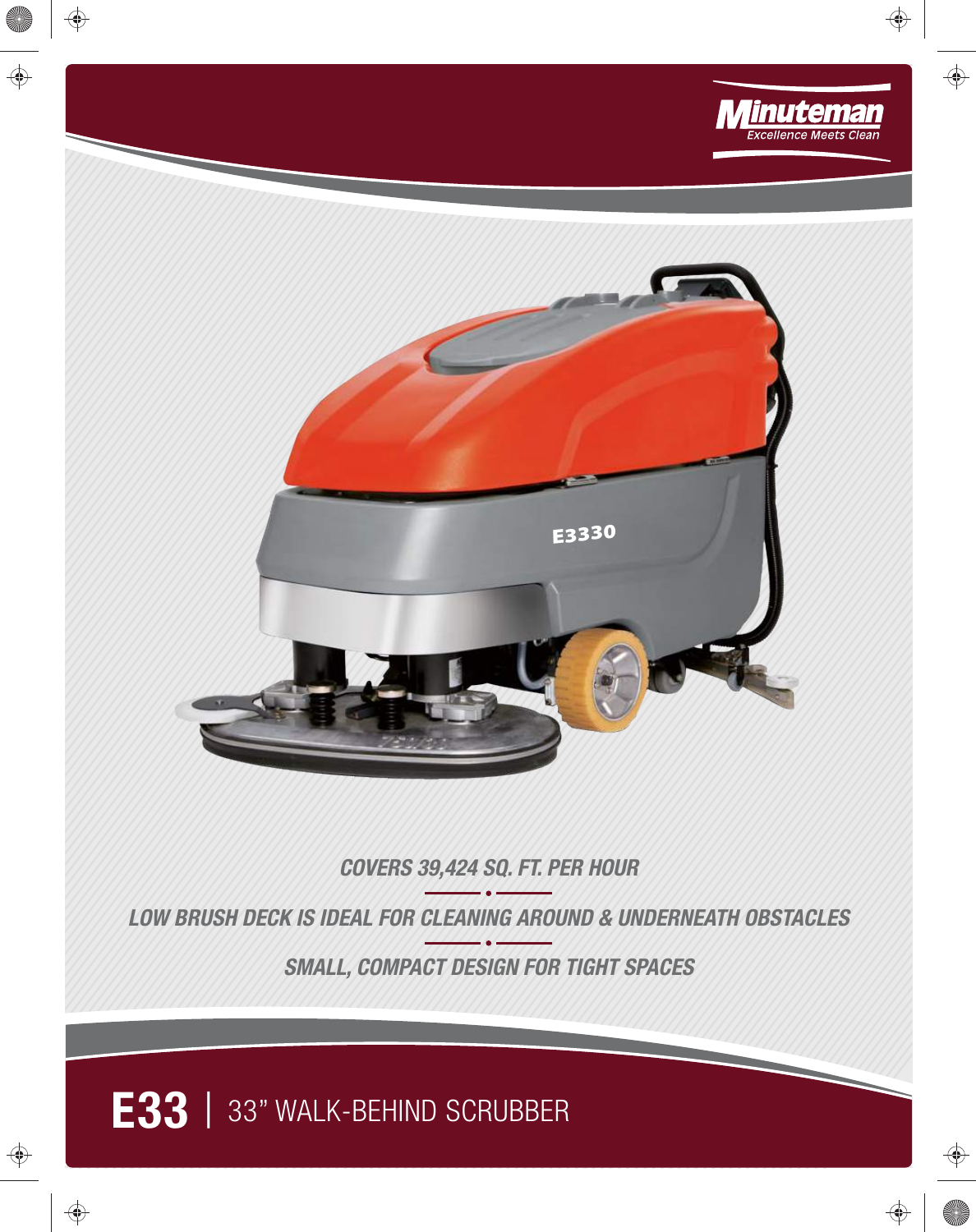

 $\bigoplus$ 

 $\bigoplus$ 

 $\bigoplus$ 

**IN** 

 $\bigoplus$ 

 $\bigoplus$ 

 $\bigoplus$